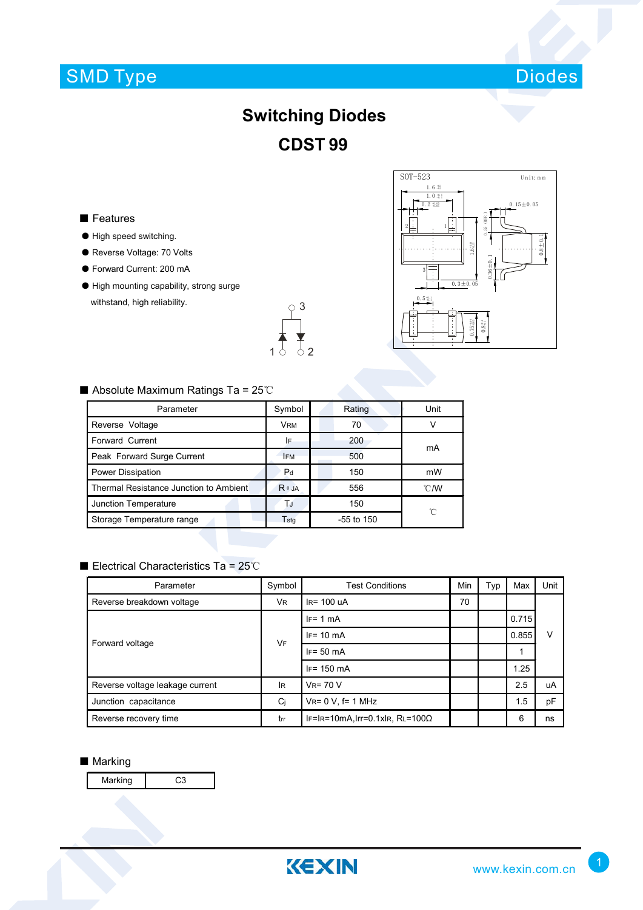# SMD Type



## **Switching Diodes CDST 99**

### ■ Features

- High speed switching.
- Reverse Voltage: 70 Volts
- Forward Current: 200 mA
- High mounting capability, strong surge withstand, high reliability.





### ■ Absolute Maximum Ratings Ta = 25℃

| Parameter                              | Symbol                      | Rating       | Unit           |  |
|----------------------------------------|-----------------------------|--------------|----------------|--|
| Reverse Voltage                        | <b>VRM</b>                  | 70           | V              |  |
| Forward Current                        | IF                          | 200          | mA             |  |
| Peak Forward Surge Current             | <b>IFM</b>                  | 500          |                |  |
| Power Dissipation                      | Pd                          | 150          | mW             |  |
| Thermal Resistance Junction to Ambient | $R \theta$ JA               | 556          | $^{\circ}$ C/W |  |
| Junction Temperature                   | TJ                          | 150          | °C             |  |
| Storage Temperature range              | $\mathsf{T}_{\mathsf{std}}$ | $-55$ to 150 |                |  |

### ■ Electrical Characteristics Ta = 25℃

| Parameter                       | Symbol    | <b>Test Conditions</b>                  | Min | Typ | Max   | Unit |
|---------------------------------|-----------|-----------------------------------------|-----|-----|-------|------|
| Reverse breakdown voltage       | <b>VR</b> | $IR = 100$ uA                           |     |     |       |      |
| Forward voltage                 | VF        | $IF = 1 mA$                             |     |     | 0.715 | ν    |
|                                 |           | $IF = 10 \text{ mA}$                    |     |     | 0.855 |      |
|                                 |           | $IF = 50 mA$                            |     |     | 1     |      |
|                                 |           | $IF = 150 \text{ mA}$                   |     |     | 1.25  |      |
| Reverse voltage leakage current | <b>IR</b> | $V_R = 70 V$                            |     |     | 2.5   | uA   |
| Junction capacitance            | Ci        | $V_{R} = 0 V$ , f= 1 MHz                |     |     | 1.5   | pF   |
| Reverse recovery time           | trr       | IF=IR=10mA, Irr=0.1xIR, RL=100 $\Omega$ |     |     | 6     | ns   |

#### ■ Marking

Marking | C3